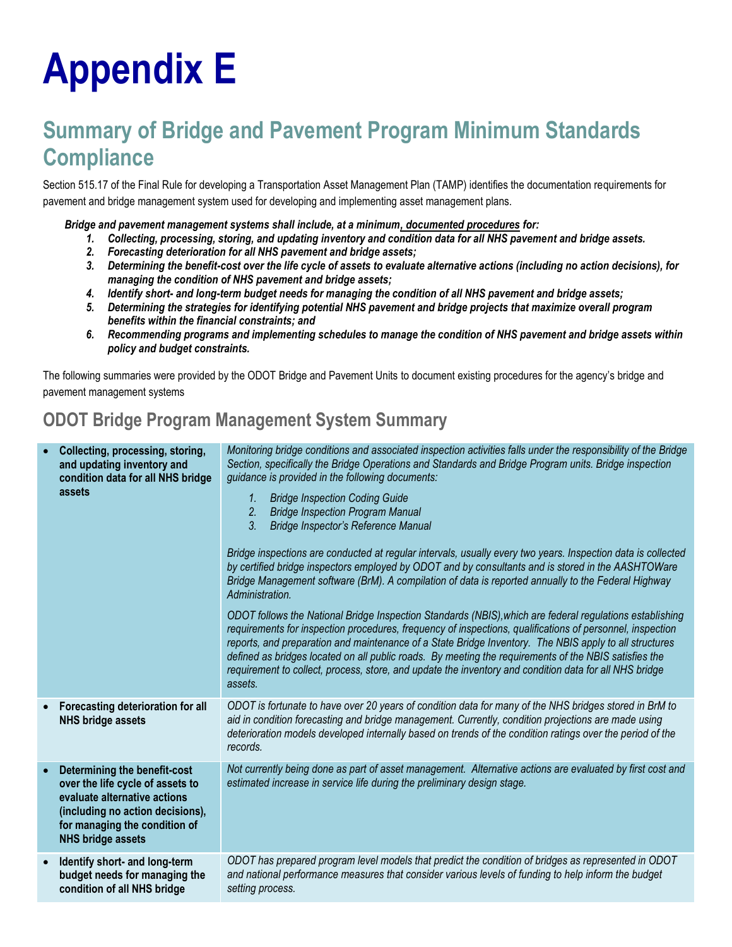## **Appendix E**

## **Summary of Bridge and Pavement Program Minimum Standards Compliance**

Section 515.17 of the Final Rule for developing a Transportation Asset Management Plan (TAMP) identifies the documentation requirements for pavement and bridge management system used for developing and implementing asset management plans.

*Bridge and pavement management systems shall include, at a minimum, documented procedures for:*

- *1. Collecting, processing, storing, and updating inventory and condition data for all NHS pavement and bridge assets.*
- *2. Forecasting deterioration for all NHS pavement and bridge assets;*
- *3. Determining the benefit-cost over the life cycle of assets to evaluate alternative actions (including no action decisions), for managing the condition of NHS pavement and bridge assets;*
- *4. Identify short- and long-term budget needs for managing the condition of all NHS pavement and bridge assets;*
- *5. Determining the strategies for identifying potential NHS pavement and bridge projects that maximize overall program benefits within the financial constraints; and*
- *6. Recommending programs and implementing schedules to manage the condition of NHS pavement and bridge assets within policy and budget constraints.*

The following summaries were provided by the ODOT Bridge and Pavement Units to document existing procedures for the agency's bridge and pavement management systems

## **ODOT Bridge Program Management System Summary**

| Collecting, processing, storing,<br>and updating inventory and<br>condition data for all NHS bridge<br>assets                                                                                     | Monitoring bridge conditions and associated inspection activities falls under the responsibility of the Bridge<br>Section, specifically the Bridge Operations and Standards and Bridge Program units. Bridge inspection<br>guidance is provided in the following documents:<br><b>Bridge Inspection Coding Guide</b><br>1.<br>2.<br><b>Bridge Inspection Program Manual</b><br>3.<br>Bridge Inspector's Reference Manual<br>Bridge inspections are conducted at regular intervals, usually every two years. Inspection data is collected<br>by certified bridge inspectors employed by ODOT and by consultants and is stored in the AASHTOWare<br>Bridge Management software (BrM). A compilation of data is reported annually to the Federal Highway<br>Administration.<br>ODOT follows the National Bridge Inspection Standards (NBIS), which are federal regulations establishing<br>requirements for inspection procedures, frequency of inspections, qualifications of personnel, inspection<br>reports, and preparation and maintenance of a State Bridge Inventory. The NBIS apply to all structures<br>defined as bridges located on all public roads. By meeting the requirements of the NBIS satisfies the<br>requirement to collect, process, store, and update the inventory and condition data for all NHS bridge<br>assets. |
|---------------------------------------------------------------------------------------------------------------------------------------------------------------------------------------------------|-------------------------------------------------------------------------------------------------------------------------------------------------------------------------------------------------------------------------------------------------------------------------------------------------------------------------------------------------------------------------------------------------------------------------------------------------------------------------------------------------------------------------------------------------------------------------------------------------------------------------------------------------------------------------------------------------------------------------------------------------------------------------------------------------------------------------------------------------------------------------------------------------------------------------------------------------------------------------------------------------------------------------------------------------------------------------------------------------------------------------------------------------------------------------------------------------------------------------------------------------------------------------------------------------------------------------------------------|
| Forecasting deterioration for all<br><b>NHS bridge assets</b>                                                                                                                                     | ODOT is fortunate to have over 20 years of condition data for many of the NHS bridges stored in BrM to<br>aid in condition forecasting and bridge management. Currently, condition projections are made using<br>deterioration models developed internally based on trends of the condition ratings over the period of the<br>records.                                                                                                                                                                                                                                                                                                                                                                                                                                                                                                                                                                                                                                                                                                                                                                                                                                                                                                                                                                                                    |
| Determining the benefit-cost<br>over the life cycle of assets to<br>evaluate alternative actions<br>(including no action decisions),<br>for managing the condition of<br><b>NHS bridge assets</b> | Not currently being done as part of asset management. Alternative actions are evaluated by first cost and<br>estimated increase in service life during the preliminary design stage.                                                                                                                                                                                                                                                                                                                                                                                                                                                                                                                                                                                                                                                                                                                                                                                                                                                                                                                                                                                                                                                                                                                                                      |
| Identify short- and long-term<br>budget needs for managing the<br>condition of all NHS bridge                                                                                                     | ODOT has prepared program level models that predict the condition of bridges as represented in ODOT<br>and national performance measures that consider various levels of funding to help inform the budget<br>setting process.                                                                                                                                                                                                                                                                                                                                                                                                                                                                                                                                                                                                                                                                                                                                                                                                                                                                                                                                                                                                                                                                                                            |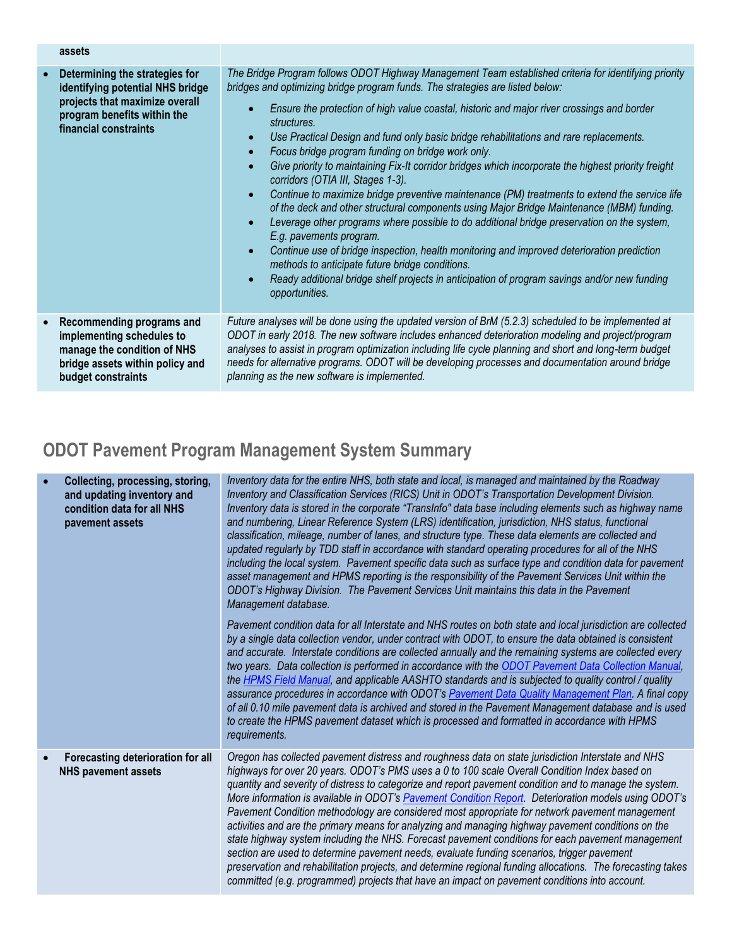|           | assets                                                                                                                                                       |                                                                                                                                                                                                                                                                                                                                                                                                                                                                                                                                                                                                                                                                                                                                                                                                                                                                                                                                                                                                                                                                                                                                                                                                                                                                                     |
|-----------|--------------------------------------------------------------------------------------------------------------------------------------------------------------|-------------------------------------------------------------------------------------------------------------------------------------------------------------------------------------------------------------------------------------------------------------------------------------------------------------------------------------------------------------------------------------------------------------------------------------------------------------------------------------------------------------------------------------------------------------------------------------------------------------------------------------------------------------------------------------------------------------------------------------------------------------------------------------------------------------------------------------------------------------------------------------------------------------------------------------------------------------------------------------------------------------------------------------------------------------------------------------------------------------------------------------------------------------------------------------------------------------------------------------------------------------------------------------|
| $\bullet$ | Determining the strategies for<br>identifying potential NHS bridge<br>projects that maximize overall<br>program benefits within the<br>financial constraints | The Bridge Program follows ODOT Highway Management Team established criteria for identifying priority<br>bridges and optimizing bridge program funds. The strategies are listed below:<br>Ensure the protection of high value coastal, historic and major river crossings and border<br>structures.<br>Use Practical Design and fund only basic bridge rehabilitations and rare replacements.<br>$\bullet$<br>Focus bridge program funding on bridge work only.<br>$\bullet$<br>Give priority to maintaining Fix-It corridor bridges which incorporate the highest priority freight<br>$\bullet$<br>corridors (OTIA III, Stages 1-3).<br>Continue to maximize bridge preventive maintenance (PM) treatments to extend the service life<br>$\bullet$<br>of the deck and other structural components using Major Bridge Maintenance (MBM) funding.<br>Leverage other programs where possible to do additional bridge preservation on the system,<br>$\bullet$<br>E.g. pavements program.<br>Continue use of bridge inspection, health monitoring and improved deterioration prediction<br>$\bullet$<br>methods to anticipate future bridge conditions.<br>Ready additional bridge shelf projects in anticipation of program savings and/or new funding<br>$\bullet$<br>opportunities. |
| $\bullet$ | Recommending programs and<br>implementing schedules to<br>manage the condition of NHS<br>bridge assets within policy and<br>budget constraints               | Future analyses will be done using the updated version of BrM (5.2.3) scheduled to be implemented at<br>ODOT in early 2018. The new software includes enhanced deterioration modeling and project/program<br>analyses to assist in program optimization including life cycle planning and short and long-term budget<br>needs for alternative programs. ODOT will be developing processes and documentation around bridge<br>planning as the new software is implemented.                                                                                                                                                                                                                                                                                                                                                                                                                                                                                                                                                                                                                                                                                                                                                                                                           |

## **ODOT Pavement Program Management System Summary**

| Collecting, processing, storing,<br>and updating inventory and<br>condition data for all NHS<br>pavement assets | Inventory data for the entire NHS, both state and local, is managed and maintained by the Roadway<br>Inventory and Classification Services (RICS) Unit in ODOT's Transportation Development Division.<br>Inventory data is stored in the corporate "TransInfo" data base including elements such as highway name<br>and numbering, Linear Reference System (LRS) identification, jurisdiction, NHS status, functional<br>classification, mileage, number of lanes, and structure type. These data elements are collected and<br>updated regularly by TDD staff in accordance with standard operating procedures for all of the NHS<br>including the local system. Pavement specific data such as surface type and condition data for pavement<br>asset management and HPMS reporting is the responsibility of the Pavement Services Unit within the<br>ODOT's Highway Division. The Pavement Services Unit maintains this data in the Pavement<br>Management database.<br>Pavement condition data for all Interstate and NHS routes on both state and local jurisdiction are collected |
|-----------------------------------------------------------------------------------------------------------------|----------------------------------------------------------------------------------------------------------------------------------------------------------------------------------------------------------------------------------------------------------------------------------------------------------------------------------------------------------------------------------------------------------------------------------------------------------------------------------------------------------------------------------------------------------------------------------------------------------------------------------------------------------------------------------------------------------------------------------------------------------------------------------------------------------------------------------------------------------------------------------------------------------------------------------------------------------------------------------------------------------------------------------------------------------------------------------------|
|                                                                                                                 | by a single data collection vendor, under contract with ODOT, to ensure the data obtained is consistent<br>and accurate. Interstate conditions are collected annually and the remaining systems are collected every<br>two years. Data collection is performed in accordance with the ODOT Pavement Data Collection Manual,<br>the HPMS Field Manual, and applicable AASHTO standards and is subjected to quality control / quality<br>assurance procedures in accordance with ODOT's Pavement Data Quality Management Plan. A final copy<br>of all 0.10 mile pavement data is archived and stored in the Pavement Management database and is used<br>to create the HPMS pavement dataset which is processed and formatted in accordance with HPMS<br>requirements.                                                                                                                                                                                                                                                                                                                    |
| Forecasting deterioration for all<br><b>NHS pavement assets</b>                                                 | Oregon has collected pavement distress and roughness data on state jurisdiction Interstate and NHS<br>highways for over 20 years. ODOT's PMS uses a 0 to 100 scale Overall Condition Index based on<br>quantity and severity of distress to categorize and report pavement condition and to manage the system.<br>More information is available in ODOT's Pavement Condition Report. Deterioration models using ODOT's<br>Pavement Condition methodology are considered most appropriate for network pavement management<br>activities and are the primary means for analyzing and managing highway pavement conditions on the<br>state highway system including the NHS. Forecast pavement conditions for each pavement management<br>section are used to determine pavement needs, evaluate funding scenarios, trigger pavement<br>preservation and rehabilitation projects, and determine regional funding allocations. The forecasting takes<br>committed (e.g. programmed) projects that have an impact on pavement conditions into account.                                      |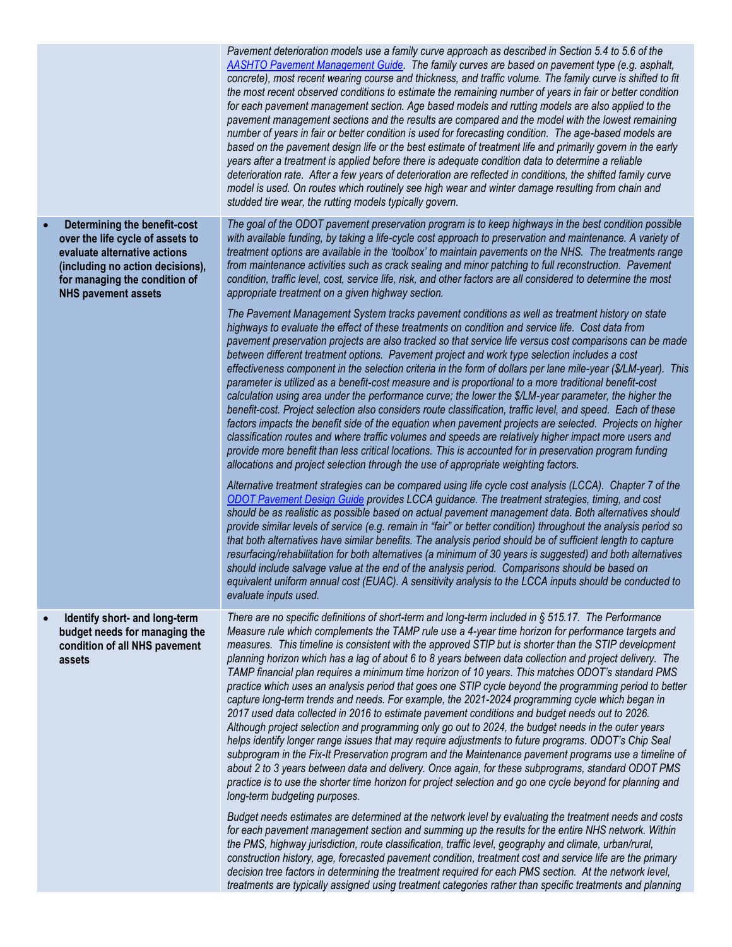|                                                                                                                                                                                                     | Pavement deterioration models use a family curve approach as described in Section 5.4 to 5.6 of the<br>AASHTO Pavement Management Guide. The family curves are based on pavement type (e.g. asphalt,<br>concrete), most recent wearing course and thickness, and traffic volume. The family curve is shifted to fit<br>the most recent observed conditions to estimate the remaining number of years in fair or better condition<br>for each pavement management section. Age based models and rutting models are also applied to the<br>pavement management sections and the results are compared and the model with the lowest remaining<br>number of years in fair or better condition is used for forecasting condition. The age-based models are<br>based on the pavement design life or the best estimate of treatment life and primarily govern in the early<br>years after a treatment is applied before there is adequate condition data to determine a reliable<br>deterioration rate. After a few years of deterioration are reflected in conditions, the shifted family curve<br>model is used. On routes which routinely see high wear and winter damage resulting from chain and<br>studded tire wear, the rutting models typically govern.                                                                                                                                                                                                                                                                                                                                                                                                                                                                                                                                                                                                                                                                                                                                                                                                                                                                                                                                                                                                                                                                                                                                                                                                                                                                                                                                                                                                                                                                                                                                                                       |
|-----------------------------------------------------------------------------------------------------------------------------------------------------------------------------------------------------|---------------------------------------------------------------------------------------------------------------------------------------------------------------------------------------------------------------------------------------------------------------------------------------------------------------------------------------------------------------------------------------------------------------------------------------------------------------------------------------------------------------------------------------------------------------------------------------------------------------------------------------------------------------------------------------------------------------------------------------------------------------------------------------------------------------------------------------------------------------------------------------------------------------------------------------------------------------------------------------------------------------------------------------------------------------------------------------------------------------------------------------------------------------------------------------------------------------------------------------------------------------------------------------------------------------------------------------------------------------------------------------------------------------------------------------------------------------------------------------------------------------------------------------------------------------------------------------------------------------------------------------------------------------------------------------------------------------------------------------------------------------------------------------------------------------------------------------------------------------------------------------------------------------------------------------------------------------------------------------------------------------------------------------------------------------------------------------------------------------------------------------------------------------------------------------------------------------------------------------------------------------------------------------------------------------------------------------------------------------------------------------------------------------------------------------------------------------------------------------------------------------------------------------------------------------------------------------------------------------------------------------------------------------------------------------------------------------------------------------------------------------------------------------------------------------------------------|
| Determining the benefit-cost<br>over the life cycle of assets to<br>evaluate alternative actions<br>(including no action decisions),<br>for managing the condition of<br><b>NHS pavement assets</b> | The goal of the ODOT pavement preservation program is to keep highways in the best condition possible<br>with available funding, by taking a life-cycle cost approach to preservation and maintenance. A variety of<br>treatment options are available in the 'toolbox' to maintain pavements on the NHS. The treatments range<br>from maintenance activities such as crack sealing and minor patching to full reconstruction. Pavement<br>condition, traffic level, cost, service life, risk, and other factors are all considered to determine the most<br>appropriate treatment on a given highway section.<br>The Pavement Management System tracks pavement conditions as well as treatment history on state<br>highways to evaluate the effect of these treatments on condition and service life. Cost data from<br>pavement preservation projects are also tracked so that service life versus cost comparisons can be made<br>between different treatment options. Pavement project and work type selection includes a cost<br>effectiveness component in the selection criteria in the form of dollars per lane mile-year (\$/LM-year). This<br>parameter is utilized as a benefit-cost measure and is proportional to a more traditional benefit-cost<br>calculation using area under the performance curve; the lower the \$/LM-year parameter, the higher the<br>benefit-cost. Project selection also considers route classification, traffic level, and speed. Each of these<br>factors impacts the benefit side of the equation when pavement projects are selected. Projects on higher<br>classification routes and where traffic volumes and speeds are relatively higher impact more users and<br>provide more benefit than less critical locations. This is accounted for in preservation program funding<br>allocations and project selection through the use of appropriate weighting factors.<br>Alternative treatment strategies can be compared using life cycle cost analysis (LCCA). Chapter 7 of the<br>ODOT Pavement Design Guide provides LCCA guidance. The treatment strategies, timing, and cost<br>should be as realistic as possible based on actual pavement management data. Both alternatives should<br>provide similar levels of service (e.g. remain in "fair" or better condition) throughout the analysis period so<br>that both alternatives have similar benefits. The analysis period should be of sufficient length to capture<br>resurfacing/rehabilitation for both alternatives (a minimum of 30 years is suggested) and both alternatives<br>should include salvage value at the end of the analysis period. Comparisons should be based on<br>equivalent uniform annual cost (EUAC). A sensitivity analysis to the LCCA inputs should be conducted to<br>evaluate inputs used. |
| Identify short- and long-term<br>budget needs for managing the<br>condition of all NHS pavement<br>assets                                                                                           | There are no specific definitions of short-term and long-term included in $\S 515.17$ . The Performance<br>Measure rule which complements the TAMP rule use a 4-year time horizon for performance targets and<br>measures. This timeline is consistent with the approved STIP but is shorter than the STIP development<br>planning horizon which has a lag of about 6 to 8 years between data collection and project delivery. The<br>TAMP financial plan requires a minimum time horizon of 10 years. This matches ODOT's standard PMS<br>practice which uses an analysis period that goes one STIP cycle beyond the programming period to better<br>capture long-term trends and needs. For example, the 2021-2024 programming cycle which began in<br>2017 used data collected in 2016 to estimate pavement conditions and budget needs out to 2026.<br>Although project selection and programming only go out to 2024, the budget needs in the outer years<br>helps identify longer range issues that may require adjustments to future programs. ODOT's Chip Seal<br>subprogram in the Fix-It Preservation program and the Maintenance pavement programs use a timeline of<br>about 2 to 3 years between data and delivery. Once again, for these subprograms, standard ODOT PMS<br>practice is to use the shorter time horizon for project selection and go one cycle beyond for planning and<br>long-term budgeting purposes.<br>Budget needs estimates are determined at the network level by evaluating the treatment needs and costs<br>for each pavement management section and summing up the results for the entire NHS network. Within<br>the PMS, highway jurisdiction, route classification, traffic level, geography and climate, urban/rural,<br>construction history, age, forecasted pavement condition, treatment cost and service life are the primary<br>decision tree factors in determining the treatment required for each PMS section. At the network level,<br>treatments are typically assigned using treatment categories rather than specific treatments and planning                                                                                                                                                                                                                                                                                                                                                                                                                                                                                                                                                                                                                                                                                                                            |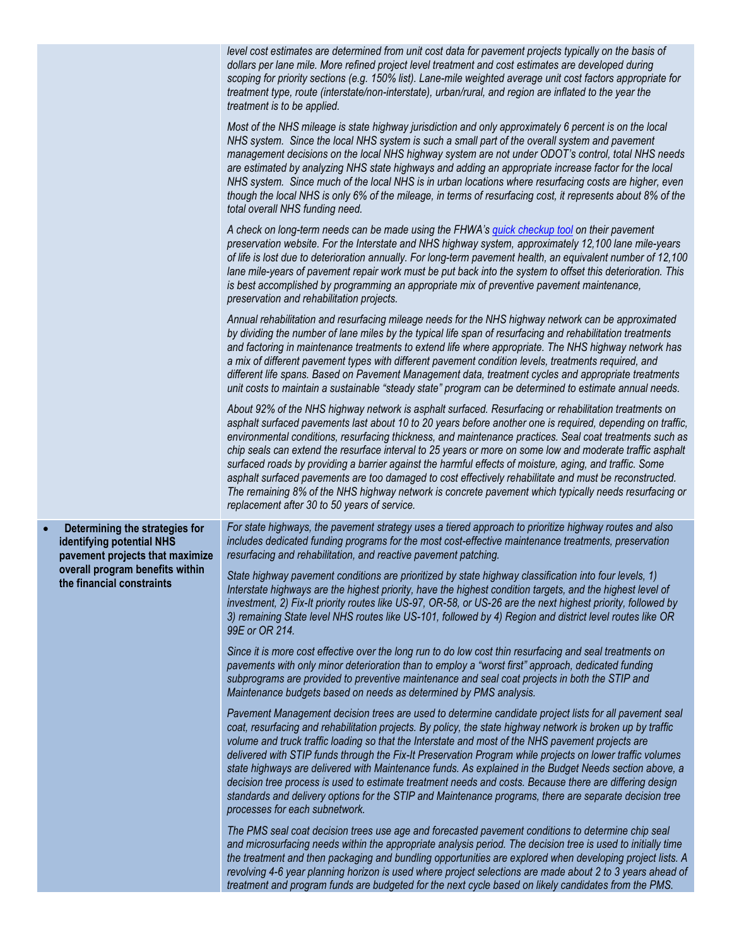|           |                                                                                                | level cost estimates are determined from unit cost data for pavement projects typically on the basis of<br>dollars per lane mile. More refined project level treatment and cost estimates are developed during<br>scoping for priority sections (e.g. 150% list). Lane-mile weighted average unit cost factors appropriate for<br>treatment type, route (interstate/non-interstate), urban/rural, and region are inflated to the year the<br>treatment is to be applied.                                                                                                                                                                                                                                                                                                                                                   |
|-----------|------------------------------------------------------------------------------------------------|----------------------------------------------------------------------------------------------------------------------------------------------------------------------------------------------------------------------------------------------------------------------------------------------------------------------------------------------------------------------------------------------------------------------------------------------------------------------------------------------------------------------------------------------------------------------------------------------------------------------------------------------------------------------------------------------------------------------------------------------------------------------------------------------------------------------------|
|           |                                                                                                | Most of the NHS mileage is state highway jurisdiction and only approximately 6 percent is on the local<br>NHS system. Since the local NHS system is such a small part of the overall system and pavement<br>management decisions on the local NHS highway system are not under ODOT's control, total NHS needs<br>are estimated by analyzing NHS state highways and adding an appropriate increase factor for the local<br>NHS system. Since much of the local NHS is in urban locations where resurfacing costs are higher, even<br>though the local NHS is only 6% of the mileage, in terms of resurfacing cost, it represents about 8% of the<br>total overall NHS funding need.                                                                                                                                        |
|           |                                                                                                | A check on long-term needs can be made using the FHWA's quick checkup tool on their pavement<br>preservation website. For the Interstate and NHS highway system, approximately 12,100 lane mile-years<br>of life is lost due to deterioration annually. For long-term pavement health, an equivalent number of 12,100<br>lane mile-years of pavement repair work must be put back into the system to offset this deterioration. This<br>is best accomplished by programming an appropriate mix of preventive pavement maintenance,<br>preservation and rehabilitation projects.                                                                                                                                                                                                                                            |
|           |                                                                                                | Annual rehabilitation and resurfacing mileage needs for the NHS highway network can be approximated<br>by dividing the number of lane miles by the typical life span of resurfacing and rehabilitation treatments<br>and factoring in maintenance treatments to extend life where appropriate. The NHS highway network has<br>a mix of different pavement types with different pavement condition levels, treatments required, and<br>different life spans. Based on Pavement Management data, treatment cycles and appropriate treatments<br>unit costs to maintain a sustainable "steady state" program can be determined to estimate annual needs.                                                                                                                                                                      |
|           |                                                                                                | About 92% of the NHS highway network is asphalt surfaced. Resurfacing or rehabilitation treatments on<br>asphalt surfaced pavements last about 10 to 20 years before another one is required, depending on traffic,<br>environmental conditions, resurfacing thickness, and maintenance practices. Seal coat treatments such as<br>chip seals can extend the resurface interval to 25 years or more on some low and moderate traffic asphalt<br>surfaced roads by providing a barrier against the harmful effects of moisture, aging, and traffic. Some<br>asphalt surfaced pavements are too damaged to cost effectively rehabilitate and must be reconstructed.<br>The remaining 8% of the NHS highway network is concrete pavement which typically needs resurfacing or<br>replacement after 30 to 50 years of service. |
| $\bullet$ | Determining the strategies for<br>identifying potential NHS<br>pavement projects that maximize | For state highways, the pavement strategy uses a tiered approach to prioritize highway routes and also<br>includes dedicated funding programs for the most cost-effective maintenance treatments, preservation<br>resurfacing and rehabilitation, and reactive pavement patching.                                                                                                                                                                                                                                                                                                                                                                                                                                                                                                                                          |
|           | overall program benefits within<br>the financial constraints                                   | State highway pavement conditions are prioritized by state highway classification into four levels, 1)<br>Interstate highways are the highest priority, have the highest condition targets, and the highest level of<br>investment, 2) Fix-It priority routes like US-97, OR-58, or US-26 are the next highest priority, followed by<br>3) remaining State level NHS routes like US-101, followed by 4) Region and district level routes like OR<br>99E or OR 214.                                                                                                                                                                                                                                                                                                                                                         |
|           |                                                                                                | Since it is more cost effective over the long run to do low cost thin resurfacing and seal treatments on<br>pavements with only minor deterioration than to employ a "worst first" approach, dedicated funding<br>subprograms are provided to preventive maintenance and seal coat projects in both the STIP and<br>Maintenance budgets based on needs as determined by PMS analysis.                                                                                                                                                                                                                                                                                                                                                                                                                                      |
|           |                                                                                                | Pavement Management decision trees are used to determine candidate project lists for all pavement seal<br>coat, resurfacing and rehabilitation projects. By policy, the state highway network is broken up by traffic<br>volume and truck traffic loading so that the Interstate and most of the NHS pavement projects are<br>delivered with STIP funds through the Fix-It Preservation Program while projects on lower traffic volumes<br>state highways are delivered with Maintenance funds. As explained in the Budget Needs section above, a<br>decision tree process is used to estimate treatment needs and costs. Because there are differing design<br>standards and delivery options for the STIP and Maintenance programs, there are separate decision tree<br>processes for each subnetwork.                   |
|           |                                                                                                | The PMS seal coat decision trees use age and forecasted pavement conditions to determine chip seal<br>and microsurfacing needs within the appropriate analysis period. The decision tree is used to initially time<br>the treatment and then packaging and bundling opportunities are explored when developing project lists. A<br>revolving 4-6 year planning horizon is used where project selections are made about 2 to 3 years ahead of<br>treatment and program funds are budgeted for the next cycle based on likely candidates from the PMS.                                                                                                                                                                                                                                                                       |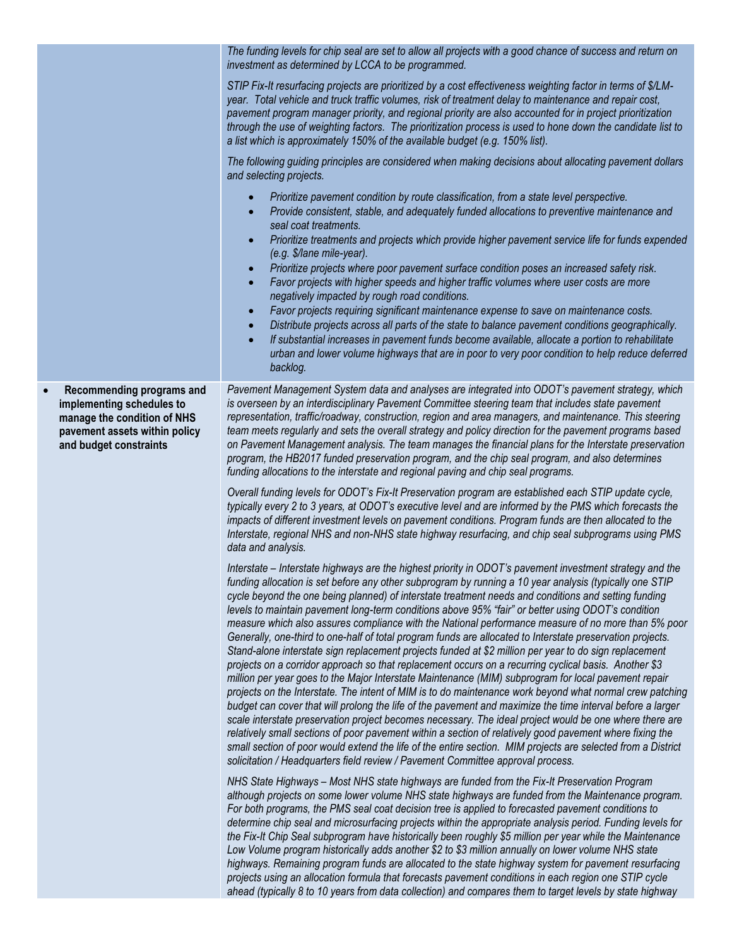|                                                                                                                                                  | The funding levels for chip seal are set to allow all projects with a good chance of success and return on<br>investment as determined by LCCA to be programmed.                                                                                                                                                                                                                                                                                                                                                                                                                                                                                                                                                                                                                                                                                                                                                                                                                                                                                                                                                                                                                                                                                                                                                                                                                                                                                                                                                                                                                                                                                            |
|--------------------------------------------------------------------------------------------------------------------------------------------------|-------------------------------------------------------------------------------------------------------------------------------------------------------------------------------------------------------------------------------------------------------------------------------------------------------------------------------------------------------------------------------------------------------------------------------------------------------------------------------------------------------------------------------------------------------------------------------------------------------------------------------------------------------------------------------------------------------------------------------------------------------------------------------------------------------------------------------------------------------------------------------------------------------------------------------------------------------------------------------------------------------------------------------------------------------------------------------------------------------------------------------------------------------------------------------------------------------------------------------------------------------------------------------------------------------------------------------------------------------------------------------------------------------------------------------------------------------------------------------------------------------------------------------------------------------------------------------------------------------------------------------------------------------------|
|                                                                                                                                                  | STIP Fix-It resurfacing projects are prioritized by a cost effectiveness weighting factor in terms of \$/LM-<br>year. Total vehicle and truck traffic volumes, risk of treatment delay to maintenance and repair cost,<br>pavement program manager priority, and regional priority are also accounted for in project prioritization<br>through the use of weighting factors. The prioritization process is used to hone down the candidate list to<br>a list which is approximately 150% of the available budget (e.g. 150% list).                                                                                                                                                                                                                                                                                                                                                                                                                                                                                                                                                                                                                                                                                                                                                                                                                                                                                                                                                                                                                                                                                                                          |
|                                                                                                                                                  | The following guiding principles are considered when making decisions about allocating pavement dollars<br>and selecting projects.                                                                                                                                                                                                                                                                                                                                                                                                                                                                                                                                                                                                                                                                                                                                                                                                                                                                                                                                                                                                                                                                                                                                                                                                                                                                                                                                                                                                                                                                                                                          |
|                                                                                                                                                  | Prioritize pavement condition by route classification, from a state level perspective.<br>$\bullet$<br>Provide consistent, stable, and adequately funded allocations to preventive maintenance and<br>$\bullet$<br>seal coat treatments.<br>Prioritize treatments and projects which provide higher pavement service life for funds expended<br>$\bullet$<br>(e.g. \$/lane mile-year).<br>Prioritize projects where poor pavement surface condition poses an increased safety risk.<br>$\bullet$<br>Favor projects with higher speeds and higher traffic volumes where user costs are more<br>$\bullet$<br>negatively impacted by rough road conditions.<br>Favor projects requiring significant maintenance expense to save on maintenance costs.<br>$\bullet$<br>Distribute projects across all parts of the state to balance pavement conditions geographically.<br>$\bullet$<br>If substantial increases in pavement funds become available, allocate a portion to rehabilitate<br>$\bullet$<br>urban and lower volume highways that are in poor to very poor condition to help reduce deferred<br>backlog.                                                                                                                                                                                                                                                                                                                                                                                                                                                                                                                                             |
| Recommending programs and<br>implementing schedules to<br>manage the condition of NHS<br>pavement assets within policy<br>and budget constraints | Pavement Management System data and analyses are integrated into ODOT's pavement strategy, which<br>is overseen by an interdisciplinary Pavement Committee steering team that includes state pavement<br>representation, traffic/roadway, construction, region and area managers, and maintenance. This steering<br>team meets regularly and sets the overall strategy and policy direction for the pavement programs based<br>on Pavement Management analysis. The team manages the financial plans for the Interstate preservation<br>program, the HB2017 funded preservation program, and the chip seal program, and also determines<br>funding allocations to the interstate and regional paving and chip seal programs.<br>Overall funding levels for ODOT's Fix-It Preservation program are established each STIP update cycle,<br>typically every 2 to 3 years, at ODOT's executive level and are informed by the PMS which forecasts the<br>impacts of different investment levels on pavement conditions. Program funds are then allocated to the<br>Interstate, regional NHS and non-NHS state highway resurfacing, and chip seal subprograms using PMS                                                                                                                                                                                                                                                                                                                                                                                                                                                                                           |
|                                                                                                                                                  | data and analysis.<br>Interstate - Interstate highways are the highest priority in ODOT's pavement investment strategy and the<br>funding allocation is set before any other subprogram by running a 10 year analysis (typically one STIP<br>cycle beyond the one being planned) of interstate treatment needs and conditions and setting funding<br>levels to maintain pavement long-term conditions above 95% "fair" or better using ODOT's condition<br>measure which also assures compliance with the National performance measure of no more than 5% poor<br>Generally, one-third to one-half of total program funds are allocated to Interstate preservation projects.<br>Stand-alone interstate sign replacement projects funded at \$2 million per year to do sign replacement<br>projects on a corridor approach so that replacement occurs on a recurring cyclical basis. Another \$3<br>million per year goes to the Major Interstate Maintenance (MIM) subprogram for local pavement repair<br>projects on the Interstate. The intent of MIM is to do maintenance work beyond what normal crew patching<br>budget can cover that will prolong the life of the pavement and maximize the time interval before a larger<br>scale interstate preservation project becomes necessary. The ideal project would be one where there are<br>relatively small sections of poor pavement within a section of relatively good pavement where fixing the<br>small section of poor would extend the life of the entire section. MIM projects are selected from a District<br>solicitation / Headquarters field review / Pavement Committee approval process. |
|                                                                                                                                                  | NHS State Highways – Most NHS state highways are funded from the Fix-It Preservation Program<br>although projects on some lower volume NHS state highways are funded from the Maintenance program.<br>For both programs, the PMS seal coat decision tree is applied to forecasted pavement conditions to<br>determine chip seal and microsurfacing projects within the appropriate analysis period. Funding levels for<br>the Fix-It Chip Seal subprogram have historically been roughly \$5 million per year while the Maintenance<br>Low Volume program historically adds another \$2 to \$3 million annually on lower volume NHS state<br>highways. Remaining program funds are allocated to the state highway system for pavement resurfacing<br>projects using an allocation formula that forecasts pavement conditions in each region one STIP cycle<br>ahead (typically 8 to 10 years from data collection) and compares them to target levels by state highway                                                                                                                                                                                                                                                                                                                                                                                                                                                                                                                                                                                                                                                                                      |